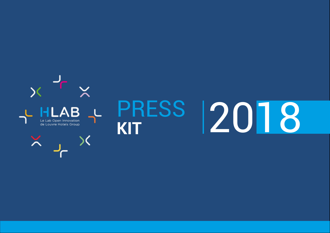

**DOSSIER DE PRESSE 2018 - HLAB**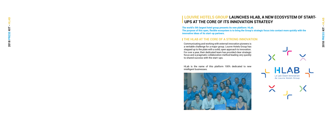**DOSSIER DE PRESSE 2018 - HLAB AB 2018 PRESS KIT - HLAB**£  $\blacksquare$ 2018 PRESS KIT

# **LOUVRE HOTELS GROUP LAUNCHES HLAB, A NEW ECOSYSTEM OF START-UPS AT THE CORE OF ITS INNOVATION STRATEGY**

**The world's 5th largest hotel group presents its new platform: HLab.** 

**The purpose of this open, flexible ecosystem is to bring the Group's strategic focus into contact more quickly with the innovative ideas of its start-up partners.** 

Communicating and working with external innovation pioneers is a veritable challenge for a major group. Louvre Hotels Group has stepped up to the plate with a solid, open approach to innovation. For over a year, their dedicated team has provided clear strategic focus and a pragmatic collaboration method leading very quickly to shared success with the start-ups.

HLab is the name of this platform 100% dedicated to new intelligent businesses.





## **THE HLAB AT THE CORE OF A STRONG INNOVATION**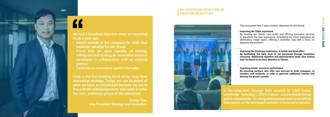

# **AN ECOSYSTEM WITH 3 VALUE CREATION OBJECTIVES**



This ecosystem has 3 value creation objectives for the Group:

### **Improving the Client experience**

By meeting our clients' new needs and offering innovative services to transform the user experience: simplifying the client experience by eliminating 'rough spots', offering a seamless stay with a focus on pleasure and emotion.

**In the long-term, through their network of 7,000 hotels worldwide - including 1,000 in France -, Louvre Hotels Group and its shareholder Jin Jiang International want to establish**  of themselves as the privileged partners of innovative players.<br>A themselves as the privileged partners of innovative players.

**Improving the Employee experience, in hotels and head office By facilitating the daily work of our personnel through innovative measures: digitalizing repetitive and administrative tasks, thus freeing time for teams to be more attentive to Clients.** 

### **Improving hotels' economic performance**

**By choosing partners who offer new services to hotel managers, to travelers and residents, in order to generate additional revenue and develop the group's growth.** 

**Vice President Strategy and Innovation** 

# **We had a threefold objective when we launched HLab a year ago:**

- **• Reach outside of the company for skills that could be valuable for the Group**
- **• Prove that we were capable of testing, rolling out and scaling an innovative solution developed in collaboration with an external partner.**
- **• Generate an innovative spririt internally**

**HLab is the first building block of our long-term innovation strategy. Today, we can be proud of what we have accomplished because we are in line with the stated objectives and ready to enter the next, ambitious phase of the adventure.**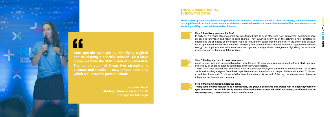### *Step 2: Finding start-ups to meet these needs*

A call for start-ups was launched based on these themes. 92 applicants were considered before 7 start-ups were selected by an enlarged steering committee and other Group experts.

These 7 start-ups pitched their solution in front of 120 Group employees convened for the occasion. The diverse audience including everyone from the Group CEO to the accommodations manager. Each candidate had 7 minutes to sell their ideas and 15 minutes of Q&A from the audience. At the end of the day, the winners were chosen to integrate a co-development program.

### *Step 1: Identifying issues in the field*

**3 Step 3: Maintaining Hlab's innovative drive.<br>
<b>3** Today, using its first experience as a spring open innovation. The result is a truly virtuous *Today, using its first experience as a springboard, the group is continuing this project with an ongoing process of open innovation. The result is a truly virtuous alliance with the start-ups in its Hlab ecosystem, an alliance based on co-development, co-creation and mutual acculturation.* 

In early 2017, a mixed steering committee was formed with 10 head office and hotel employees: multidisciplinary, all open to innovation and ready to drive change. They surveyed nearly 80 of the network's hotel directors to understand the obstacles or 'sore spots' (wasted time, money) experienced in the field. At the end of this phase, 5 major operational themes were identified. The group was ready to launch an open innovation approach to address energy consumption, optimized maintenance management, intelligent linen management, digitalizing the restaurant experience and protecting isolated workers.





## **HLAB, DEMONSTRATING INNOVATIVE DRIVE**

**Using a start-up approach, the HLab project began with an original initiative. Like a POC (Proof of concept) - the first concrete accomplishment in an innovation experiment - Hlab was created in the wake of an innovation contest held last year to demonstrate the Group's ability to work with innovative pioneers.** 



**Start-ups always begin by identifying a glitch and developing a specific solution. As a large group, we have the 360° vision of a generalist. The combination of these two strengths is virtuous and results in new, unique solutions, which would not be possible alone.** 

> **Lorraine Duval Strategic Innovation and HLab Ecosystem Manager**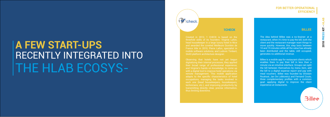# **A FEW START-UPS** RECENTLY INTEGRATED INTO THE HLAB ECOSYS -

Created in 2012, 1 CHECK is based on the threefold skills of its founders: Virginie Lafon, head housekeeper in a large luxury hotel in Nice and awarded the coveted Meilleure Ouvrière de France title in 2010, Pierre Lafon, specialist in mobile software solutions, and Ludovic Timbert, SAAS platform architecture designer.

Observing that hotels have not yet begun digitalizing their internal processes, they applied their broad range of professional experience, and Virginie's hands-on knowledge, to come up with a digital tool to improve hotel operations via remote management. This mobile application adapts to the specific characteristics of hotel occupations, managing the tasks involved in each one (head housekeepers, housekeepers, technicians, etc.), and improving productivity by transmitting directly clear, precise information, thus limiting downtime.

**Billee** 

The idea behind Billee was a no-brainer: at a restaurant, when it's time to pay the bill, both the client and the restaurant manager want things to move quickly. However, this step lasts between 10 and 15 minutes while all the value has already been distributed and the table, still occupied, generates no additional revenue.

Billee is a mobile app for restaurant clients which enables them to pay their bill in less than a minute via an intuitive interface. Groups can split the bill between themselves by menu item, add the bill to a digital expense report and pay with meal vouchers. Billee was founded by Ghislain Rouëssé, Jan De Lobkowicz and Fernand Couto, three complementary profiles with a common goal: applying digital to improve the client experience at restaurants.

# *i* Tcheck

### **1CHECK BILLEE**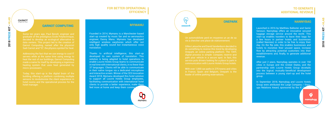Thanks to artificial intelligence, this start-up developed its own system of translation. This solution is being adapted to hotel operations to enable Louvre Hotels Group teams to communicate in real time with international clients, in no fewer than 37 languages. Clients will be able to communicate in their native tongue via a dedicated microphone and interactive screen. Winner of the CES Innovation Award 2018, Mymanu developed this hotel solution to support all Louvre Hotels Group employees, facilitating communication with international hotel clients to provide a better experience, make them feel more at home and keep them coming



Founded in 2014, Mymanu is a Manchester-based start-up created by music fan and ex-aeronautics engineer, Danny Manu. Mymanu has developed intelligent wireless earphones which offer not only high quality sound but instantaneous voice translation.

### **MYMANU**

### **GARNOT** COMPUTING

Un automobiliste perd en moyenne un an de sa vie à chercher une place de stationnement.

> In September 2018, Nannybag and Louvre Hotels Group were attributed the Large Company / Startups Relations Award, sponsored by the IE C

Gilles Latouche and David Vandenborn decided to do something to reverse this trend by developing Onepark, an online parking platform. The 100% digital process is simple: compare, reserve and park your vehicle in a secure spot. In fact, this service puts drivers looking for a place to park in communication with Louvre Hotels Group hotels.

With over 1,000 car parks in 275 towns and cities in France, Spain and Belgium, Onepark is the leader of online parking reservations.

## **ONEPARK**

Launched in 2016 by Matthieu Ballester and Samir Senouci, Nannybag offers an innovative secured luggage storage service around the world. This start-up enables travelers to leave their bags for a few hours in partner hotels and businesses (called Nannies) in order to be free to enjoy their day. On the flip side, this enables businesses and hotels to monetize their unused space, increase flow by attracting potential customers into their establishments and, finally, to generate additional revenue.

After just 2 years, Nannybag operates in over 150 cities in Europe and the United States, and the partnership with Louvre Hotels Group dovetails into the logical, mutually-beneficial development process between a young start-up and the hotel group.

### **NANNYBAG**

Ø

nannybag

Some ten years ago, Paul Benoît, engineer and graduate of the prestigious Ecole Polytechnique, decided to develop an ecological alternative to data centers. This project led to the creation of Qarnot Computing, named after the physicist Sadi Carnot and "Q", the physics symbol for heat.

Addressing the fact that we use energy to cool IT servers while at the same time using energy to heat the rest of our buildings, Qarnot Computing made a name for itself by developing a ingenious heating system that uses heat generated by micro-processers.

Today, this start-up is the digital brain of the building offering a platform combining multiple sensors to revolutionize the client experience in hotel rooms and the operational process for the hotel manager.

### **QARNOT COMPUTING**